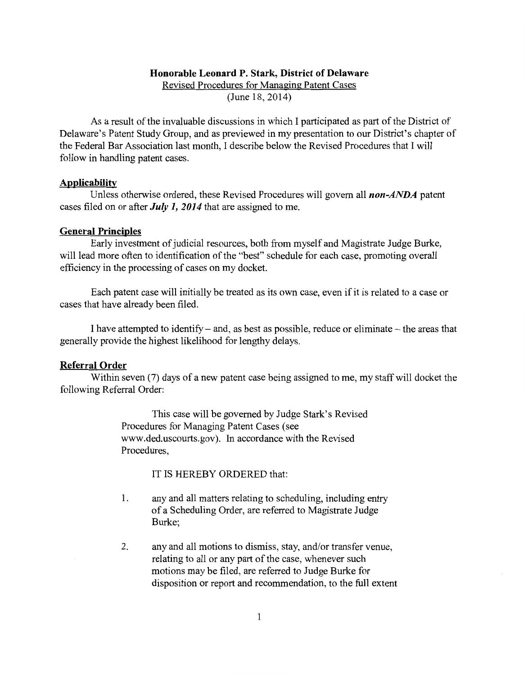#### **Honorable Leonard P. Stark, District of Delaware**

Revised Procedures for Managing Patent Cases (June 18, 2014)

As a result of the invaluable discussions in which I participated as part of the District of Delaware's Patent Study Group, and as previewed in my presentation to our District's chapter of the Federal Bar Association last month, I describe below the Revised Procedures that I will follow in handling patent cases.

#### **Applicability**

Unless otherwise ordered, these Revised Procedures will govern all *non-ANDA* patent cases filed on or after *July 1, 2014* that are assigned to me.

### **General Principles**

Early investment of judicial resources, both from myself and Magistrate Judge Burke, will lead more often to identification of the "best" schedule for each case, promoting overall efficiency in the processing of cases on my docket.

Each patent case will initially be treated as its own case, even if it is related to a case or cases that have already been filed.

I have attempted to identify – and, as best as possible, reduce or eliminate  $-$  the areas that generally provide the highest likelihood for lengthy delays.

### **Referral Order**

Within seven (7) days of a new patent case being assigned to me, my staff will docket the following Referral Order:

> This case will be governed by Judge Stark's Revised Procedures for Managing Patent Cases (see www.ded.uscourts.gov). In accordance with the Revised Procedures,

> > IT IS HEREBY ORDERED that:

- 1. any and all matters relating to scheduling, including entry of a Scheduling Order, are referred to Magistrate Judge Burke;
- 2. any and all motions to dismiss, stay, and/or transfer venue, relating to all or any part of the case, whenever such motions may be filed, are referred to Judge Burke for disposition or report and recommendation, to the full extent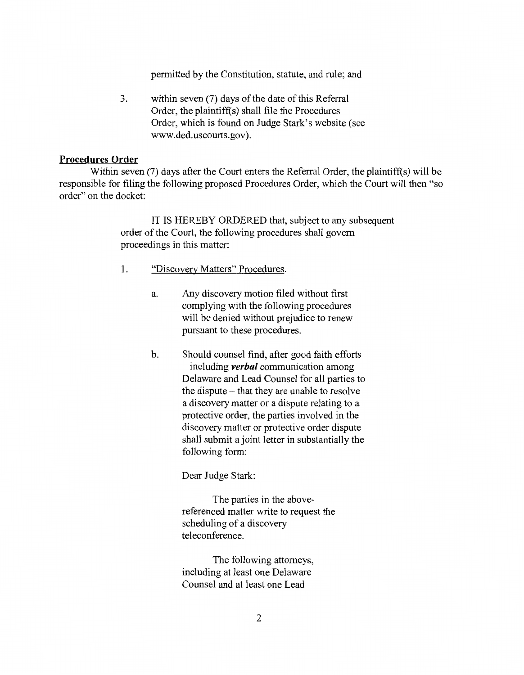permitted by the Constitution, statute, and rule; and

3. within seven (7) days of the date of this Referral Order, the plaintiff(s) shall file the Procedures Order, which is found on Judge Stark's website (see www.ded.uscourts.gov).

## **Procedures Order**

Within seven (7) days after the Court enters the Referral Order, the plaintiff(s) will be responsible for filing the following proposed Procedures Order, which the Court will then "so order" on the docket:

> IT IS HEREBY ORDERED that, subject to any subsequent order of the Court, the following procedures shall govern proceedings in this matter:

- 1. "Discovery Matters" Procedures.
	- a. Any discovery motion filed without first complying with the following procedures will be denied without prejudice to renew pursuant to these procedures.
	- b. Should counsel find, after good faith efforts - including *verbal* communication among Delaware and Lead Counsel for all parties to the dispute  $-$  that they are unable to resolve a discovery matter or a dispute relating to a protective order, the parties involved in the discovery matter or protective order dispute shall submit a joint letter in substantially the following form:

Dear Judge Stark:

The parties in the abovereferenced matter write to request the scheduling of a discovery teleconference.

The following attorneys, including at least one Delaware Counsel and at least one Lead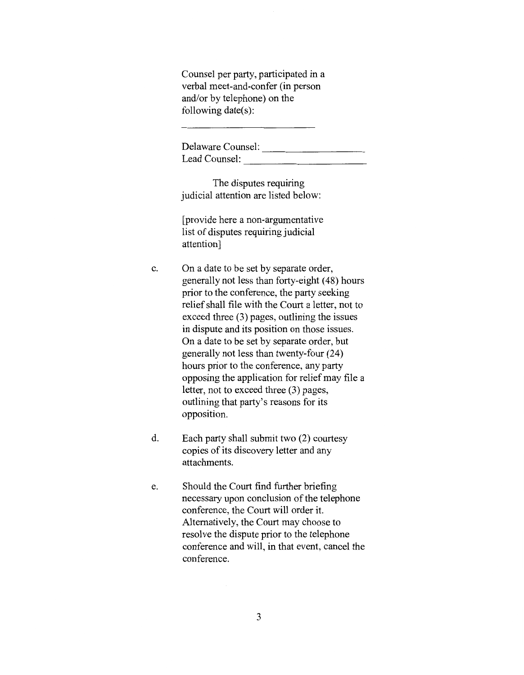Counsel per party, participated in a verbal meet-and-confer (in person and/or by telephone) on the following date(s):

| Delaware Counsel: |  |
|-------------------|--|
| Lead Counsel:     |  |

The disputes requiring judicial attention are listed below:

[provide here a non-argumentative list of disputes requiring judicial attention]

c. On a date to be set by separate order, generally not less than forty-eight ( 48) hours prior to the conference, the party seeking relief shall file with the Court a letter, not to exceed three (3) pages, outlining the issues in dispute and its position on those issues. On a date to be set by separate order, but generally not less than twenty-four (24) hours prior to the conference, any party opposing the application for relief may file a letter, not to exceed three (3) pages, outlining that party's reasons for its opposition.

- d. Each party shall submit two (2) courtesy copies of its discovery letter and any attachments.
- e. Should the Court find further briefing necessary upon conclusion of the telephone conference, the Court will order it. Alternatively, the Court may choose to resolve the dispute prior to the telephone conference and will, in that event, cancel the conference.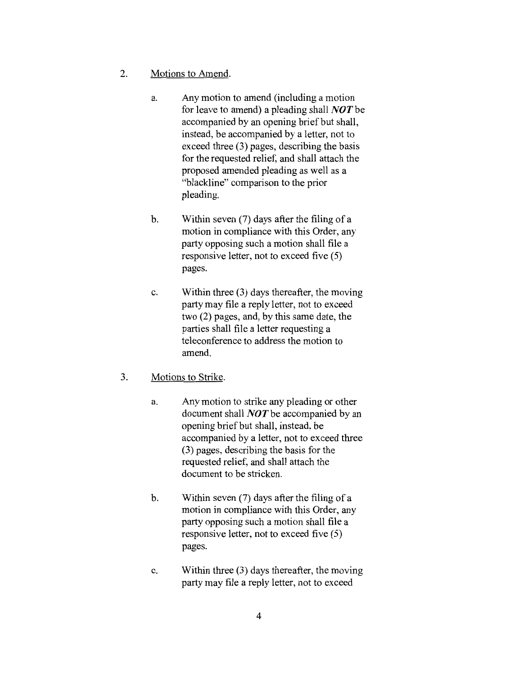- 2. Motions to Amend.
	- a. Any motion to amend (including a motion for leave to amend) a pleading shall *NOT* be accompanied by an opening brief but shall, instead, be accompanied by a letter, not to exceed three (3) pages, describing the basis for the requested relief, and shall attach the proposed amended pleading as well as a "blackline" comparison to the prior pleading.
	- b. Within seven (7) days after the filing of a motion in compliance with this Order, any party opposing such a motion shall file a responsive letter, not to exceed five (5) pages.
	- c. Within three (3) days thereafter, the moving party may file a reply letter, not to exceed two (2) pages, and, by this same date, the parties shall file a letter requesting a teleconference to address the motion to amend.
- 3. Motions to Strike.
	- a. Any motion to strike any pleading or other document shall *NOT* be accompanied by an opening brief but shall, instead, be accompanied by a letter, not to exceed three (3) pages, describing the basis for the requested relief, and shall attach the document to be stricken.
	- b. Within seven (7) days after the filing of a motion in compliance with this Order, any party opposing such a motion shall file a responsive letter, not to exceed five (5) pages.
	- c. Within three (3) days thereafter, the moving party may file a reply letter, not to exceed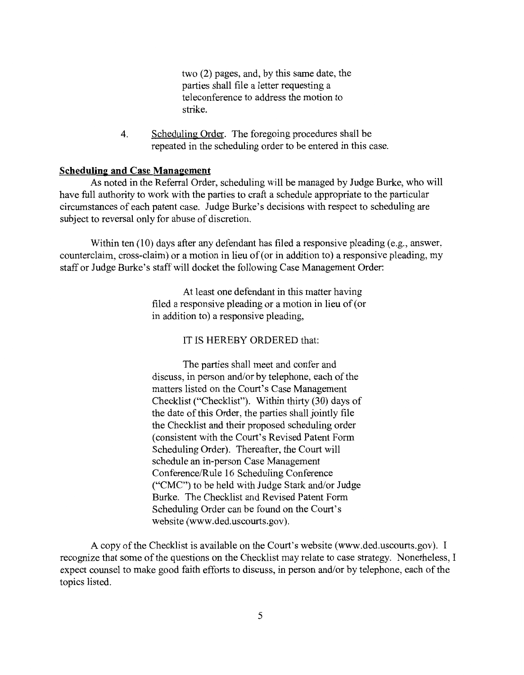two (2) pages, and, by this same date, the parties shall file a letter requesting a teleconference to address the motion to strike.

4. Scheduling Order. The foregoing procedures shall be repeated in the scheduling order to be entered in this case.

## **Scheduling and Case Management**

As noted in the Referral Order, scheduling will be managed by Judge Burke, who will have full authority to work with the parties to craft a schedule appropriate to the particular circumstances of each patent case. Judge Burke's decisions with respect to scheduling are subject to reversal only for abuse of discretion.

Within ten  $(10)$  days after any defendant has filed a responsive pleading (e.g., answer, counterclaim, cross-claim) or a motion in lieu of (or in addition to) a responsive pleading, my staff or Judge Burke's staff will docket the following Case Management Order:

> At least one defendant in this matter having filed a responsive pleading or a motion in lieu of (or in addition to) a responsive pleading,

> > IT IS HEREBY ORDERED that:

The parties shall meet and confer and discuss, in person and/or by telephone, each of the matters listed on the Court's Case Management Checklist ("Checklist"). Within thirty (30) days of the date of this Order, the parties shall jointly file the Checklist and their proposed scheduling order (consistent with the Court's Revised Patent Form Scheduling Order). Thereafter, the Court will schedule an in-person Case Management Conference/Rule 16 Scheduling Conference ("CMC") to be held with Judge Stark and/or Judge Burke. The Checklist and Revised Patent Form Scheduling Order can be found on the Court's website (www.ded.uscourts.gov).

A copy of the Checklist is available on the Court's website (www.ded.uscourts.gov). I recognize that some of the questions on the Checklist may relate to case strategy. Nonetheless, I expect counsel to make good faith efforts to discuss, in person and/or by telephone, each of the topics listed.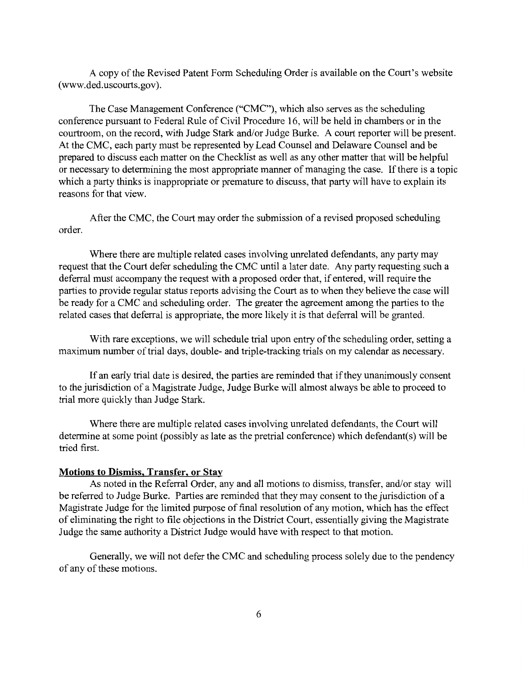A copy of the Revised Patent Form Scheduling Order is available on the Court's website (www.ded.uscourts.gov).

The Case Management Conference ("CMC"), which also serves as the scheduling conference pursuant to Federal Rule of Civil Procedure 16, will be held in chambers or in the courtroom, on the record, with Judge Stark and/or Judge Burke. A court reporter will be present. At the CMC, each party must be represented by Lead Counsel and Delaware Counsel and be prepared to discuss each matter on the Checklist as well as any other matter that will be helpful or necessary to determining the most appropriate manner of managing the case. If there is a topic which a party thinks is inappropriate or premature to discuss, that party will have to explain its reasons for that view.

After the CMC, the Court may order the submission of a revised proposed scheduling order.

Where there are multiple related cases involving umelated defendants, any party may request that the Court defer scheduling the CMC until a later date. Any party requesting such a deferral must accompany the request with a proposed order that, if entered, will require the parties to provide regular status reports advising the Court as to when they believe the case will be ready for a CMC and scheduling order. The greater the agreement among the parties to the related cases that deferral is appropriate, the more likely it is that deferral will be granted.

With rare exceptions, we will schedule trial upon entry of the scheduling order, setting a maximum number of trial days, double- and triple-tracking trials on my calendar as necessary.

If an early trial date is desired, the parties are reminded that if they unanimously consent to the jurisdiction of a Magistrate Judge, Judge Burke will almost always be able to proceed to trial more quickly than Judge Stark.

Where there are multiple related cases involving umelated defendants, the Court will determine at some point (possibly as late as the pretrial conference) which defendant(s) will be tried first.

## **Motions to Dismiss, Transfer, or Stay**

As noted in the Referral Order, any and all motions to dismiss, transfer, and/or stay will be referred to Judge Burke. Parties are reminded that they may consent to the jurisdiction of a Magistrate Judge for the limited purpose of final resolution of any motion, which has the effect of eliminating the right to file objections in the District Court, essentially giving the Magistrate Judge the same authority a District Judge would have with respect to that motion.

Generally, we will not defer the CMC and scheduling process solely due to the pendency of any of these motions.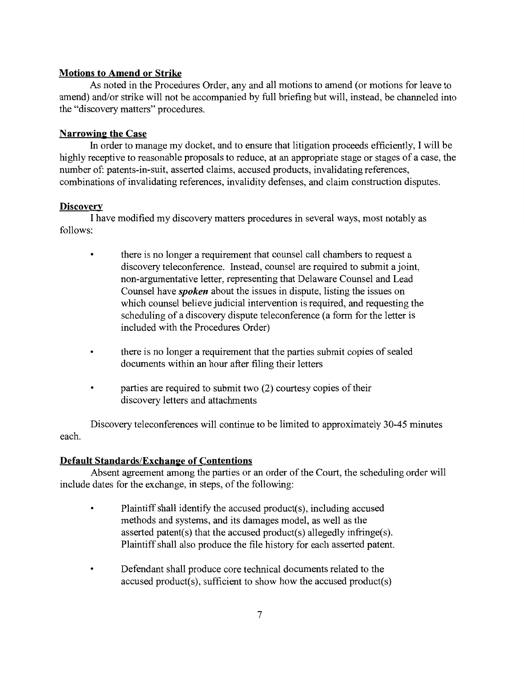# **Motions to Amend or Strike**

As noted in the Procedures Order, any and all motions to amend (or motions for leave to amend) and/or strike will not be accompanied by full briefing but will, instead, be channeled into the "discovery matters" procedures.

# **Narrowing the Case**

In order to manage my docket, and to ensure that litigation proceeds efficiently, I will be highly receptive to reasonable proposals to reduce, at an appropriate stage or stages of a case, the number of: patents-in-suit, asserted claims, accused products, invalidating references, combinations of invalidating references, invalidity defenses, and claim construction disputes.

# **Discovery**

I have modified my discovery matters procedures in several ways, most notably as follows:

- there is no longer a requirement that counsel call chambers to request a discovery teleconference. Instead, counsel are required to submit a joint, non-argumentative letter, representing that Delaware Counsel and Lead Counsel have *spoken* about the issues in dispute, listing the issues on which counsel believe judicial intervention is required, and requesting the scheduling of a discovery dispute teleconference (a form for the letter is included with the Procedures Order)
- there is no longer a requirement that the parties submit copies of sealed documents within an hour after filing their letters
- parties are required to submit two  $(2)$  courtesy copies of their discovery letters and attachments

each. Discovery teleconferences will continue to be limited to approximately 30-45 minutes

# **Default** Standards/Exchan~:e **of Contentions**

Absent agreement among the parties or an order of the Court, the scheduling order will include dates for the exchange, in steps, of the following:

- Plaintiff shall identify the accused product(s), including accused  $\bullet$ methods and systems, and its damages model, as well as the asserted patent(s) that the accused product(s) allegedly infringe(s). Plaintiff shall also produce the file history for each asserted patent.
- Defendant shall produce core technical documents related to the accused product(s), sufficient to show how the accused product(s)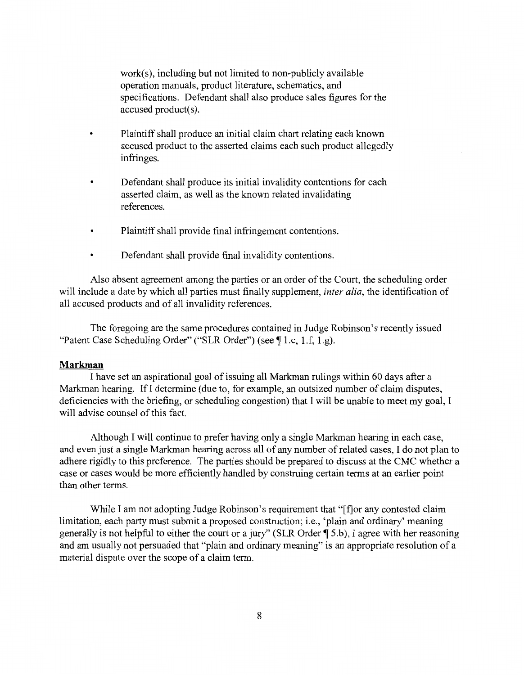work(s), including but not limited to non-publicly available operation manuals, product literature, schematics, and specifications. Defendant shall also produce sales figures for the accused product(s).

- Plaintiff shall produce an initial claim chart relating each known accused product to the asserted claims each such product allegedly infringes.
- Defendant shall produce its initial invalidity contentions for each asserted claim, as well as the known related invalidating references.
- Plaintiff shall provide final infringement contentions.
- Defendant shall provide final invalidity contentions.

Also absent agreement among the parties or an order of the Court, the scheduling order will include a date by which all parties must finally supplement, *inter alia,* the identification of all accused products and of all invalidity references.

The foregoing are the same procedures contained in Judge Robinson's recently issued "Patent Case Scheduling Order" ("SLR Order") (see  $\P$  1.c, 1.f, 1.g).

#### **Markman**

I have set an aspirational goal of issuing all Markman rulings within 60 days after a Markman hearing. If I determine (due to, for example, an outsized number of claim disputes, deficiencies with the briefing, or scheduling congestion) that I will be unable to meet my goal, I will advise counsel of this fact.

Although I will continue to prefer having only a single Markman hearing in each case, and even just a single Markman hearing across all of any number of related cases, I do not plan to adhere rigidly to this preference. The parties should be prepared to discuss at the CMC whether a case or cases would be more efficiently handled by construing certain terms at an earlier point than other terms.

While I am not adopting Judge Robinson's requirement that "[f]or any contested claim limitation, each party must submit a proposed construction; i.e., 'plain and ordinary' meaning generally is not helpful to either the court or a jury" (SLR Order  $\P$  5.b), I agree with her reasoning and am usually not persuaded that "plain and ordinary meaning" is an appropriate resolution of a material dispute over the scope of a claim term.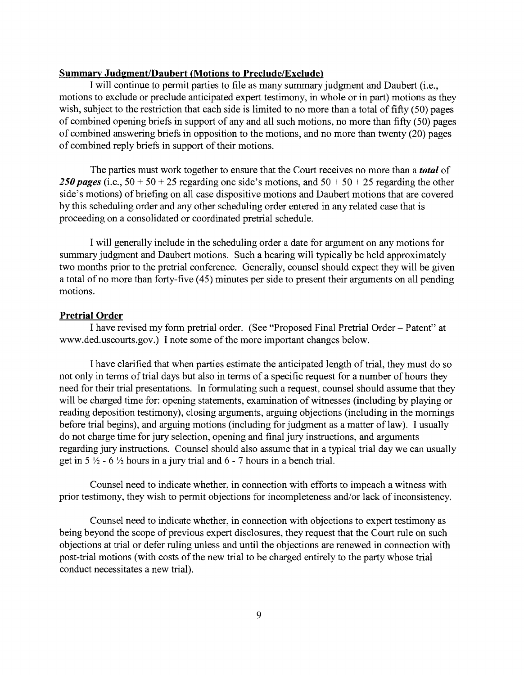## **Summary Judement/Daubert (Motions to Preclude/Exclude)**

I will continue to permit parties to file as many summary judgment and Daubert (i.e., motions to exclude or preclude anticipated expert testimony, in whole or in part) motions as they wish, subject to the restriction that each side is limited to no more than a total of fifty (50) pages of combined opening briefs in support of any and all such motions, no more than fifty (50) pages of combined answering briefs in opposition to the motions, and no more than twenty (20) pages of combined reply briefs in support of their motions.

The parties must work together to ensure that the Court receives no more than a *total* of 250 pages (i.e.,  $50 + 50 + 25$  regarding one side's motions, and  $50 + 50 + 25$  regarding the other side's motions) of briefing on all case dispositive motions and Daubert motions that are covered by this scheduling order and any other scheduling order entered in any related case that is proceeding on a consolidated or coordinated pretrial schedule.

I will generally include in the scheduling order a date for argument on any motions for summary judgment and Daubert motions. Such a hearing will typically be held approximately two months prior to the pretrial conference. Generally, counsel should expect they will be given a total of no more than forty-five (45) minutes per side to present their arguments on all pending motions.

#### **Pretrial Order**

I have revised my form pretrial order. (See "Proposed Final Pretrial Order- Patent" at www.ded.uscourts.gov.) I note some of the more important changes below.

I have clarified that when parties estimate the anticipated length of trial, they must do so not only in terms of trial days but also in terms of a specific request for a number of hours they need for their trial presentations. In formulating such a request, counsel should assume that they will be charged time for: opening statements, examination of witnesses (including by playing or reading deposition testimony), closing arguments, arguing objections (including in the mornings before trial begins), and arguing motions (including for judgment as a matter of law). I usually do not charge time for jury selection, opening and final jury instructions, and arguments regarding jury instructions. Counsel should also assume that in a typical trial day we can usually get in  $5\frac{1}{2}$  - 6  $\frac{1}{2}$  hours in a jury trial and 6 - 7 hours in a bench trial.

Counsel need to indicate whether, in connection with efforts to impeach a witness with prior testimony, they wish to permit objections for incompleteness and/or lack of inconsistency.

Counsel need to indicate whether, in connection with objections to expert testimony as being beyond the scope of previous expert disclosures, they request that the Court rule on such objections at trial or defer ruling unless and until the objections are renewed in connection with post-trial motions (with costs of the new trial to be charged entirely to the party whose trial conduct necessitates a new trial).